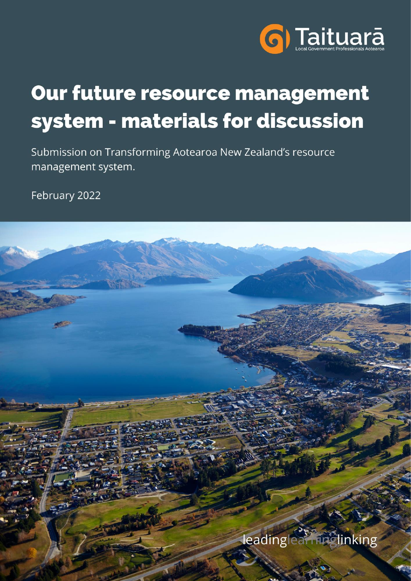

# Our future resource management system - materials for discussion

Submission on Transforming Aotearoa New Zealand's resource management system.

February 2022

leadinglearninglinking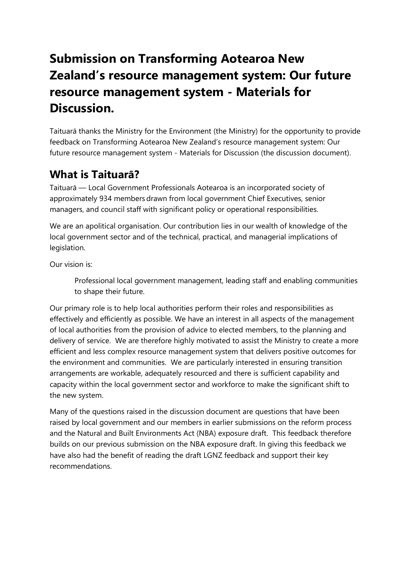# **Submission on Transforming Aotearoa New Zealand's resource management system: Our future resource management system - Materials for Discussion.**

Taituarā thanks the Ministry for the Environment (the Ministry) for the opportunity to provide feedback on Transforming Aotearoa New Zealand's resource management system: Our future resource management system - Materials for Discussion (the discussion document).

#### **What is Taituarā?**

Taituarā — Local Government Professionals Aotearoa is an incorporated society of approximately 934 members drawn from local government Chief Executives, senior managers, and council staff with significant policy or operational responsibilities.

We are an apolitical organisation. Our contribution lies in our wealth of knowledge of the local government sector and of the technical, practical, and managerial implications of legislation.

Our vision is:

Professional local government management, leading staff and enabling communities to shape their future.

Our primary role is to help local authorities perform their roles and responsibilities as effectively and efficiently as possible. We have an interest in all aspects of the management of local authorities from the provision of advice to elected members, to the planning and delivery of service. We are therefore highly motivated to assist the Ministry to create a more efficient and less complex resource management system that delivers positive outcomes for the environment and communities. We are particularly interested in ensuring transition arrangements are workable, adequately resourced and there is sufficient capability and capacity within the local government sector and workforce to make the significant shift to the new system.

Many of the questions raised in the discussion document are questions that have been raised by local government and our members in earlier submissions on the reform process and the Natural and Built Environments Act (NBA) exposure draft. This feedback therefore builds on our previous submission on the NBA exposure draft. In giving this feedback we have also had the benefit of reading the draft LGNZ feedback and support their key recommendations.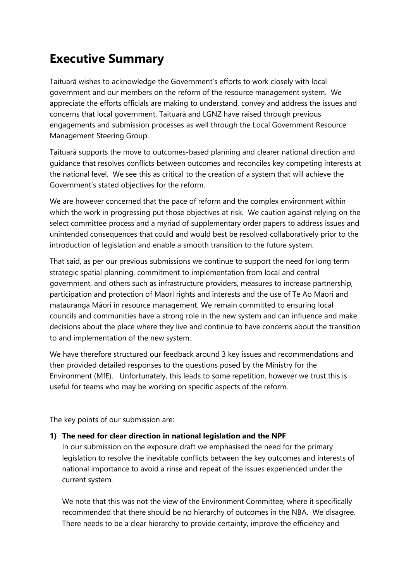# **Executive Summary**

Taituarā wishes to acknowledge the Government's efforts to work closely with local government and our members on the reform of the resource management system. We appreciate the efforts officials are making to understand, convey and address the issues and concerns that local government, Taituarā and LGNZ have raised through previous engagements and submission processes as well through the Local Government Resource Management Steering Group.

Taituarā supports the move to outcomes-based planning and clearer national direction and guidance that resolves conflicts between outcomes and reconciles key competing interests at the national level. We see this as critical to the creation of a system that will achieve the Government's stated objectives for the reform.

We are however concerned that the pace of reform and the complex environment within which the work in progressing put those objectives at risk. We caution against relying on the select committee process and a myriad of supplementary order papers to address issues and unintended consequences that could and would best be resolved collaboratively prior to the introduction of legislation and enable a smooth transition to the future system.

That said, as per our previous submissions we continue to support the need for long term strategic spatial planning, commitment to implementation from local and central government, and others such as infrastructure providers, measures to increase partnership, participation and protection of Māori rights and interests and the use of Te Ao Māori and matauranga Māori in resource management. We remain committed to ensuring local councils and communities have a strong role in the new system and can influence and make decisions about the place where they live and continue to have concerns about the transition to and implementation of the new system.

We have therefore structured our feedback around 3 key issues and recommendations and then provided detailed responses to the questions posed by the Ministry for the Environment (MfE). Unfortunately, this leads to some repetition, however we trust this is useful for teams who may be working on specific aspects of the reform.

The key points of our submission are:

#### **1) The need for clear direction in national legislation and the NPF**

In our submission on the exposure draft we emphasised the need for the primary legislation to resolve the inevitable conflicts between the key outcomes and interests of national importance to avoid a rinse and repeat of the issues experienced under the current system.

We note that this was not the view of the Environment Committee, where it specifically recommended that there should be no hierarchy of outcomes in the NBA. We disagree. There needs to be a clear hierarchy to provide certainty, improve the efficiency and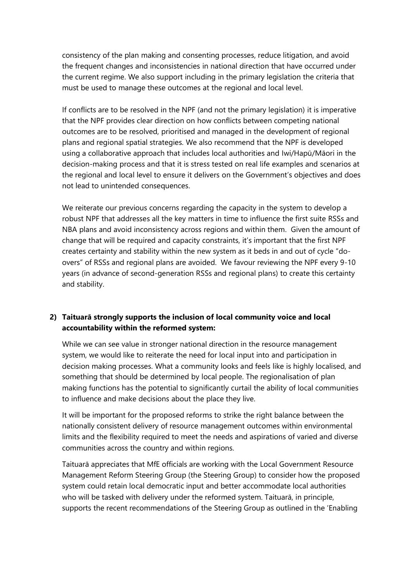consistency of the plan making and consenting processes, reduce litigation, and avoid the frequent changes and inconsistencies in national direction that have occurred under the current regime. We also support including in the primary legislation the criteria that must be used to manage these outcomes at the regional and local level.

If conflicts are to be resolved in the NPF (and not the primary legislation) it is imperative that the NPF provides clear direction on how conflicts between competing national outcomes are to be resolved, prioritised and managed in the development of regional plans and regional spatial strategies. We also recommend that the NPF is developed using a collaborative approach that includes local authorities and Iwi/Hapū/Māori in the decision-making process and that it is stress tested on real life examples and scenarios at the regional and local level to ensure it delivers on the Government's objectives and does not lead to unintended consequences.

We reiterate our previous concerns regarding the capacity in the system to develop a robust NPF that addresses all the key matters in time to influence the first suite RSSs and NBA plans and avoid inconsistency across regions and within them. Given the amount of change that will be required and capacity constraints, it's important that the first NPF creates certainty and stability within the new system as it beds in and out of cycle "doovers" of RSSs and regional plans are avoided. We favour reviewing the NPF every 9-10 years (in advance of second-generation RSSs and regional plans) to create this certainty and stability.

#### **2) Taituarā strongly supports the inclusion of local community voice and local accountability within the reformed system:**

While we can see value in stronger national direction in the resource management system, we would like to reiterate the need for local input into and participation in decision making processes. What a community looks and feels like is highly localised, and something that should be determined by local people. The regionalisation of plan making functions has the potential to significantly curtail the ability of local communities to influence and make decisions about the place they live.

It will be important for the proposed reforms to strike the right balance between the nationally consistent delivery of resource management outcomes within environmental limits and the flexibility required to meet the needs and aspirations of varied and diverse communities across the country and within regions.

Taituarā appreciates that MfE officials are working with the Local Government Resource Management Reform Steering Group (the Steering Group) to consider how the proposed system could retain local democratic input and better accommodate local authorities who will be tasked with delivery under the reformed system. Taituarā, in principle, supports the recent recommendations of the Steering Group as outlined in the 'Enabling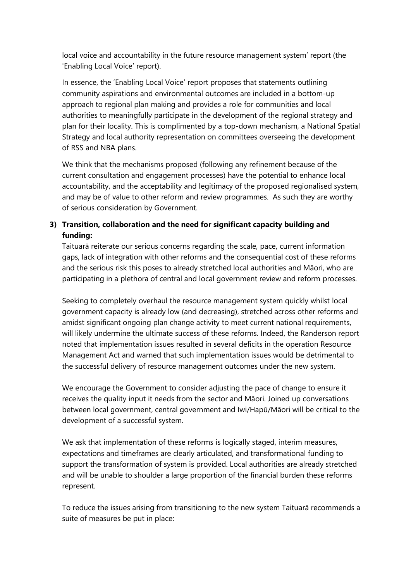local voice and accountability in the future resource management system' report (the 'Enabling Local Voice' report).

In essence, the 'Enabling Local Voice' report proposes that statements outlining community aspirations and environmental outcomes are included in a bottom-up approach to regional plan making and provides a role for communities and local authorities to meaningfully participate in the development of the regional strategy and plan for their locality. This is complimented by a top-down mechanism, a National Spatial Strategy and local authority representation on committees overseeing the development of RSS and NBA plans.

We think that the mechanisms proposed (following any refinement because of the current consultation and engagement processes) have the potential to enhance local accountability, and the acceptability and legitimacy of the proposed regionalised system, and may be of value to other reform and review programmes. As such they are worthy of serious consideration by Government.

#### **3) Transition, collaboration and the need for significant capacity building and funding:**

Taituarā reiterate our serious concerns regarding the scale, pace, current information gaps, lack of integration with other reforms and the consequential cost of these reforms and the serious risk this poses to already stretched local authorities and Māori, who are participating in a plethora of central and local government review and reform processes.

Seeking to completely overhaul the resource management system quickly whilst local government capacity is already low (and decreasing), stretched across other reforms and amidst significant ongoing plan change activity to meet current national requirements, will likely undermine the ultimate success of these reforms. Indeed, the Randerson report noted that implementation issues resulted in several deficits in the operation Resource Management Act and warned that such implementation issues would be detrimental to the successful delivery of resource management outcomes under the new system.

We encourage the Government to consider adjusting the pace of change to ensure it receives the quality input it needs from the sector and Māori. Joined up conversations between local government, central government and Iwi/Hapū/Māori will be critical to the development of a successful system.

We ask that implementation of these reforms is logically staged, interim measures, expectations and timeframes are clearly articulated, and transformational funding to support the transformation of system is provided. Local authorities are already stretched and will be unable to shoulder a large proportion of the financial burden these reforms represent.

To reduce the issues arising from transitioning to the new system Taituarā recommends a suite of measures be put in place: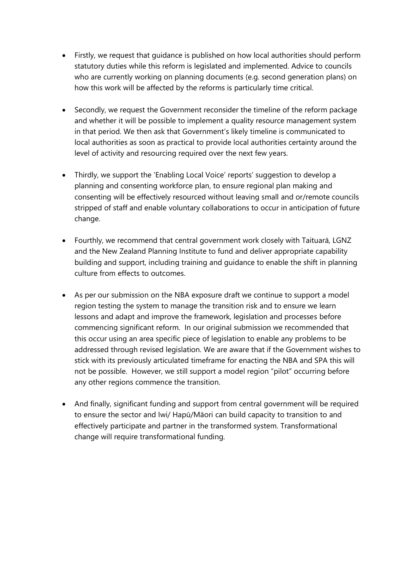- Firstly, we request that guidance is published on how local authorities should perform statutory duties while this reform is legislated and implemented. Advice to councils who are currently working on planning documents (e.g. second generation plans) on how this work will be affected by the reforms is particularly time critical.
- Secondly, we request the Government reconsider the timeline of the reform package and whether it will be possible to implement a quality resource management system in that period. We then ask that Government's likely timeline is communicated to local authorities as soon as practical to provide local authorities certainty around the level of activity and resourcing required over the next few years.
- Thirdly, we support the 'Enabling Local Voice' reports' suggestion to develop a planning and consenting workforce plan, to ensure regional plan making and consenting will be effectively resourced without leaving small and or/remote councils stripped of staff and enable voluntary collaborations to occur in anticipation of future change.
- Fourthly, we recommend that central government work closely with Taituarā, LGNZ and the New Zealand Planning Institute to fund and deliver appropriate capability building and support, including training and guidance to enable the shift in planning culture from effects to outcomes.
- As per our submission on the NBA exposure draft we continue to support a model region testing the system to manage the transition risk and to ensure we learn lessons and adapt and improve the framework, legislation and processes before commencing significant reform. In our original submission we recommended that this occur using an area specific piece of legislation to enable any problems to be addressed through revised legislation. We are aware that if the Government wishes to stick with its previously articulated timeframe for enacting the NBA and SPA this will not be possible. However, we still support a model region "pilot" occurring before any other regions commence the transition.
- And finally, significant funding and support from central government will be required to ensure the sector and Iwi/ Hapū/Māori can build capacity to transition to and effectively participate and partner in the transformed system. Transformational change will require transformational funding.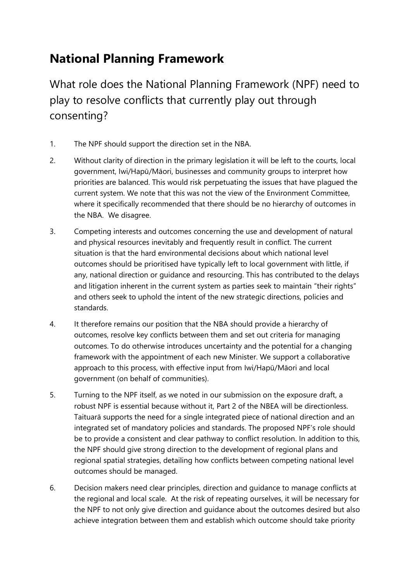# **National Planning Framework**

What role does the National Planning Framework (NPF) need to play to resolve conflicts that currently play out through consenting?

- 1. The NPF should support the direction set in the NBA.
- 2. Without clarity of direction in the primary legislation it will be left to the courts, local government, Iwi/Hapū/Māori, businesses and community groups to interpret how priorities are balanced. This would risk perpetuating the issues that have plagued the current system. We note that this was not the view of the Environment Committee, where it specifically recommended that there should be no hierarchy of outcomes in the NBA. We disagree.
- 3. Competing interests and outcomes concerning the use and development of natural and physical resources inevitably and frequently result in conflict. The current situation is that the hard environmental decisions about which national level outcomes should be prioritised have typically left to local government with little, if any, national direction or guidance and resourcing. This has contributed to the delays and litigation inherent in the current system as parties seek to maintain "their rights" and others seek to uphold the intent of the new strategic directions, policies and standards.
- 4. It therefore remains our position that the NBA should provide a hierarchy of outcomes, resolve key conflicts between them and set out criteria for managing outcomes. To do otherwise introduces uncertainty and the potential for a changing framework with the appointment of each new Minister. We support a collaborative approach to this process, with effective input from Iwi/Hapū/Māori and local government (on behalf of communities).
- 5. Turning to the NPF itself, as we noted in our submission on the exposure draft, a robust NPF is essential because without it, Part 2 of the NBEA will be directionless. Taituarā supports the need for a single integrated piece of national direction and an integrated set of mandatory policies and standards. The proposed NPF's role should be to provide a consistent and clear pathway to conflict resolution. In addition to this, the NPF should give strong direction to the development of regional plans and regional spatial strategies, detailing how conflicts between competing national level outcomes should be managed.
- 6. Decision makers need clear principles, direction and guidance to manage conflicts at the regional and local scale. At the risk of repeating ourselves, it will be necessary for the NPF to not only give direction and guidance about the outcomes desired but also achieve integration between them and establish which outcome should take priority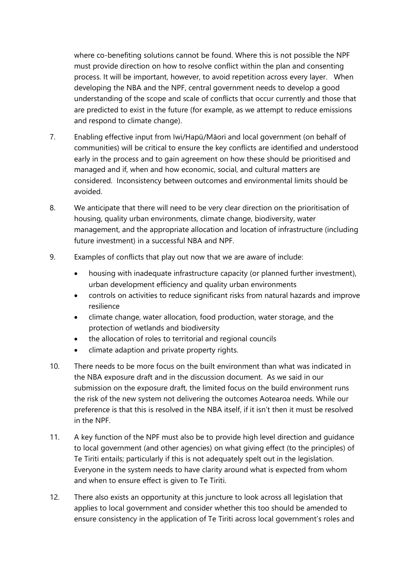where co-benefiting solutions cannot be found. Where this is not possible the NPF must provide direction on how to resolve conflict within the plan and consenting process. It will be important, however, to avoid repetition across every layer. When developing the NBA and the NPF, central government needs to develop a good understanding of the scope and scale of conflicts that occur currently and those that are predicted to exist in the future (for example, as we attempt to reduce emissions and respond to climate change).

- 7. Enabling effective input from Iwi/Hapū/Māori and local government (on behalf of communities) will be critical to ensure the key conflicts are identified and understood early in the process and to gain agreement on how these should be prioritised and managed and if, when and how economic, social, and cultural matters are considered. Inconsistency between outcomes and environmental limits should be avoided.
- 8. We anticipate that there will need to be very clear direction on the prioritisation of housing, quality urban environments, climate change, biodiversity, water management, and the appropriate allocation and location of infrastructure (including future investment) in a successful NBA and NPF.
- 9. Examples of conflicts that play out now that we are aware of include:
	- housing with inadequate infrastructure capacity (or planned further investment), urban development efficiency and quality urban environments
	- controls on activities to reduce significant risks from natural hazards and improve resilience
	- climate change, water allocation, food production, water storage, and the protection of wetlands and biodiversity
	- the allocation of roles to territorial and regional councils
	- climate adaption and private property rights.
- 10. There needs to be more focus on the built environment than what was indicated in the NBA exposure draft and in the discussion document. As we said in our submission on the exposure draft, the limited focus on the build environment runs the risk of the new system not delivering the outcomes Aotearoa needs. While our preference is that this is resolved in the NBA itself, if it isn't then it must be resolved in the NPF.
- 11. A key function of the NPF must also be to provide high level direction and guidance to local government (and other agencies) on what giving effect (to the principles) of Te Tiriti entails; particularly if this is not adequately spelt out in the legislation. Everyone in the system needs to have clarity around what is expected from whom and when to ensure effect is given to Te Tiriti.
- 12. There also exists an opportunity at this juncture to look across all legislation that applies to local government and consider whether this too should be amended to ensure consistency in the application of Te Tiriti across local government's roles and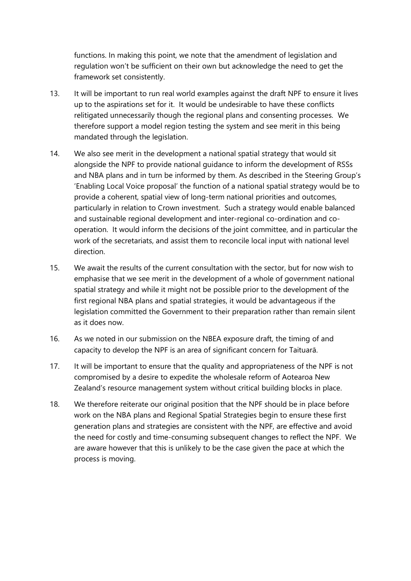functions. In making this point, we note that the amendment of legislation and regulation won't be sufficient on their own but acknowledge the need to get the framework set consistently.

- 13. It will be important to run real world examples against the draft NPF to ensure it lives up to the aspirations set for it. It would be undesirable to have these conflicts relitigated unnecessarily though the regional plans and consenting processes. We therefore support a model region testing the system and see merit in this being mandated through the legislation.
- 14. We also see merit in the development a national spatial strategy that would sit alongside the NPF to provide national guidance to inform the development of RSSs and NBA plans and in turn be informed by them. As described in the Steering Group's 'Enabling Local Voice proposal' the function of a national spatial strategy would be to provide a coherent, spatial view of long-term national priorities and outcomes, particularly in relation to Crown investment. Such a strategy would enable balanced and sustainable regional development and inter-regional co-ordination and cooperation. It would inform the decisions of the joint committee, and in particular the work of the secretariats, and assist them to reconcile local input with national level direction.
- 15. We await the results of the current consultation with the sector, but for now wish to emphasise that we see merit in the development of a whole of government national spatial strategy and while it might not be possible prior to the development of the first regional NBA plans and spatial strategies, it would be advantageous if the legislation committed the Government to their preparation rather than remain silent as it does now.
- 16. As we noted in our submission on the NBEA exposure draft, the timing of and capacity to develop the NPF is an area of significant concern for Taituarā.
- 17. It will be important to ensure that the quality and appropriateness of the NPF is not compromised by a desire to expedite the wholesale reform of Aotearoa New Zealand's resource management system without critical building blocks in place.
- 18. We therefore reiterate our original position that the NPF should be in place before work on the NBA plans and Regional Spatial Strategies begin to ensure these first generation plans and strategies are consistent with the NPF, are effective and avoid the need for costly and time-consuming subsequent changes to reflect the NPF. We are aware however that this is unlikely to be the case given the pace at which the process is moving.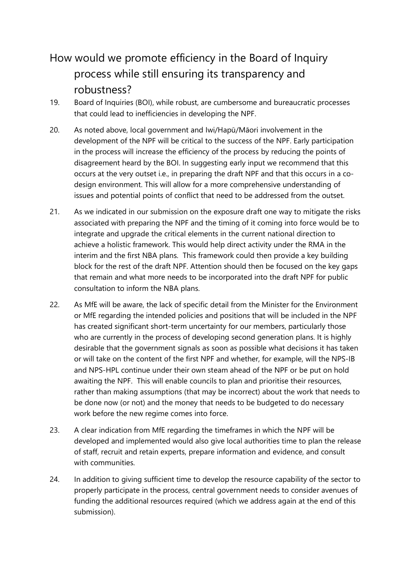# How would we promote efficiency in the Board of Inquiry process while still ensuring its transparency and robustness?

- 19. Board of Inquiries (BOI), while robust, are cumbersome and bureaucratic processes that could lead to inefficiencies in developing the NPF.
- 20. As noted above, local government and Iwi/Hapū/Māori involvement in the development of the NPF will be critical to the success of the NPF. Early participation in the process will increase the efficiency of the process by reducing the points of disagreement heard by the BOI. In suggesting early input we recommend that this occurs at the very outset i.e., in preparing the draft NPF and that this occurs in a codesign environment. This will allow for a more comprehensive understanding of issues and potential points of conflict that need to be addressed from the outset.
- 21. As we indicated in our submission on the exposure draft one way to mitigate the risks associated with preparing the NPF and the timing of it coming into force would be to integrate and upgrade the critical elements in the current national direction to achieve a holistic framework. This would help direct activity under the RMA in the interim and the first NBA plans. This framework could then provide a key building block for the rest of the draft NPF. Attention should then be focused on the key gaps that remain and what more needs to be incorporated into the draft NPF for public consultation to inform the NBA plans.
- 22. As MfE will be aware, the lack of specific detail from the Minister for the Environment or MfE regarding the intended policies and positions that will be included in the NPF has created significant short-term uncertainty for our members, particularly those who are currently in the process of developing second generation plans. It is highly desirable that the government signals as soon as possible what decisions it has taken or will take on the content of the first NPF and whether, for example, will the NPS-IB and NPS-HPL continue under their own steam ahead of the NPF or be put on hold awaiting the NPF. This will enable councils to plan and prioritise their resources, rather than making assumptions (that may be incorrect) about the work that needs to be done now (or not) and the money that needs to be budgeted to do necessary work before the new regime comes into force.
- 23. A clear indication from MfE regarding the timeframes in which the NPF will be developed and implemented would also give local authorities time to plan the release of staff, recruit and retain experts, prepare information and evidence, and consult with communities.
- 24. In addition to giving sufficient time to develop the resource capability of the sector to properly participate in the process, central government needs to consider avenues of funding the additional resources required (which we address again at the end of this submission).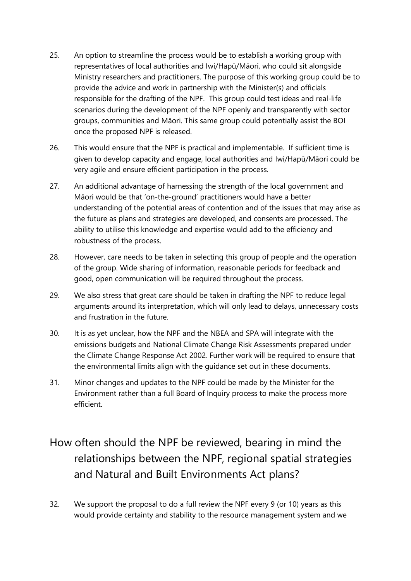- 25. An option to streamline the process would be to establish a working group with representatives of local authorities and Iwi/Hapū/Māori, who could sit alongside Ministry researchers and practitioners. The purpose of this working group could be to provide the advice and work in partnership with the Minister(s) and officials responsible for the drafting of the NPF. This group could test ideas and real-life scenarios during the development of the NPF openly and transparently with sector groups, communities and Māori. This same group could potentially assist the BOI once the proposed NPF is released.
- 26. This would ensure that the NPF is practical and implementable. If sufficient time is given to develop capacity and engage, local authorities and Iwi/Hapū/Māori could be very agile and ensure efficient participation in the process.
- 27. An additional advantage of harnessing the strength of the local government and Māori would be that 'on-the-ground' practitioners would have a better understanding of the potential areas of contention and of the issues that may arise as the future as plans and strategies are developed, and consents are processed. The ability to utilise this knowledge and expertise would add to the efficiency and robustness of the process.
- 28. However, care needs to be taken in selecting this group of people and the operation of the group. Wide sharing of information, reasonable periods for feedback and good, open communication will be required throughout the process.
- 29. We also stress that great care should be taken in drafting the NPF to reduce legal arguments around its interpretation, which will only lead to delays, unnecessary costs and frustration in the future.
- 30. It is as yet unclear, how the NPF and the NBEA and SPA will integrate with the emissions budgets and National Climate Change Risk Assessments prepared under the Climate Change Response Act 2002. Further work will be required to ensure that the environmental limits align with the guidance set out in these documents.
- 31. Minor changes and updates to the NPF could be made by the Minister for the Environment rather than a full Board of Inquiry process to make the process more efficient.

# How often should the NPF be reviewed, bearing in mind the relationships between the NPF, regional spatial strategies and Natural and Built Environments Act plans?

32. We support the proposal to do a full review the NPF every 9 (or 10) years as this would provide certainty and stability to the resource management system and we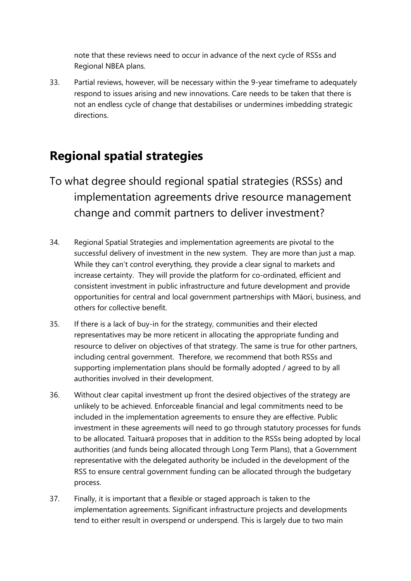note that these reviews need to occur in advance of the next cycle of RSSs and Regional NBEA plans.

33. Partial reviews, however, will be necessary within the 9-year timeframe to adequately respond to issues arising and new innovations. Care needs to be taken that there is not an endless cycle of change that destabilises or undermines imbedding strategic directions.

#### **Regional spatial strategies**

- To what degree should regional spatial strategies (RSSs) and implementation agreements drive resource management change and commit partners to deliver investment?
- 34. Regional Spatial Strategies and implementation agreements are pivotal to the successful delivery of investment in the new system. They are more than just a map. While they can't control everything, they provide a clear signal to markets and increase certainty. They will provide the platform for co-ordinated, efficient and consistent investment in public infrastructure and future development and provide opportunities for central and local government partnerships with Māori, business, and others for collective benefit.
- 35. If there is a lack of buy-in for the strategy, communities and their elected representatives may be more reticent in allocating the appropriate funding and resource to deliver on objectives of that strategy. The same is true for other partners, including central government. Therefore, we recommend that both RSSs and supporting implementation plans should be formally adopted / agreed to by all authorities involved in their development.
- 36. Without clear capital investment up front the desired objectives of the strategy are unlikely to be achieved. Enforceable financial and legal commitments need to be included in the implementation agreements to ensure they are effective. Public investment in these agreements will need to go through statutory processes for funds to be allocated. Taituarā proposes that in addition to the RSSs being adopted by local authorities (and funds being allocated through Long Term Plans), that a Government representative with the delegated authority be included in the development of the RSS to ensure central government funding can be allocated through the budgetary process.
- 37. Finally, it is important that a flexible or staged approach is taken to the implementation agreements. Significant infrastructure projects and developments tend to either result in overspend or underspend. This is largely due to two main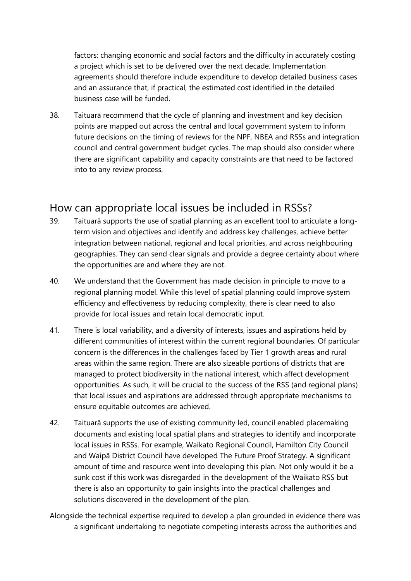factors: changing economic and social factors and the difficulty in accurately costing a project which is set to be delivered over the next decade. Implementation agreements should therefore include expenditure to develop detailed business cases and an assurance that, if practical, the estimated cost identified in the detailed business case will be funded.

38. Taituarā recommend that the cycle of planning and investment and key decision points are mapped out across the central and local government system to inform future decisions on the timing of reviews for the NPF, NBEA and RSSs and integration council and central government budget cycles. The map should also consider where there are significant capability and capacity constraints are that need to be factored into to any review process.

#### How can appropriate local issues be included in RSSs?

- 39. Taituarā supports the use of spatial planning as an excellent tool to articulate a longterm vision and objectives and identify and address key challenges, achieve better integration between national, regional and local priorities, and across neighbouring geographies. They can send clear signals and provide a degree certainty about where the opportunities are and where they are not.
- 40. We understand that the Government has made decision in principle to move to a regional planning model. While this level of spatial planning could improve system efficiency and effectiveness by reducing complexity, there is clear need to also provide for local issues and retain local democratic input.
- 41. There is local variability, and a diversity of interests, issues and aspirations held by different communities of interest within the current regional boundaries. Of particular concern is the differences in the challenges faced by Tier 1 growth areas and rural areas within the same region. There are also sizeable portions of districts that are managed to protect biodiversity in the national interest, which affect development opportunities. As such, it will be crucial to the success of the RSS (and regional plans) that local issues and aspirations are addressed through appropriate mechanisms to ensure equitable outcomes are achieved.
- 42. Taituarā supports the use of existing community led, council enabled placemaking documents and existing local spatial plans and strategies to identify and incorporate local issues in RSSs. For example, Waikato Regional Council, Hamilton City Council and Waipā District Council have developed The Future Proof Strategy. A significant amount of time and resource went into developing this plan. Not only would it be a sunk cost if this work was disregarded in the development of the Waikato RSS but there is also an opportunity to gain insights into the practical challenges and solutions discovered in the development of the plan.
- Alongside the technical expertise required to develop a plan grounded in evidence there was a significant undertaking to negotiate competing interests across the authorities and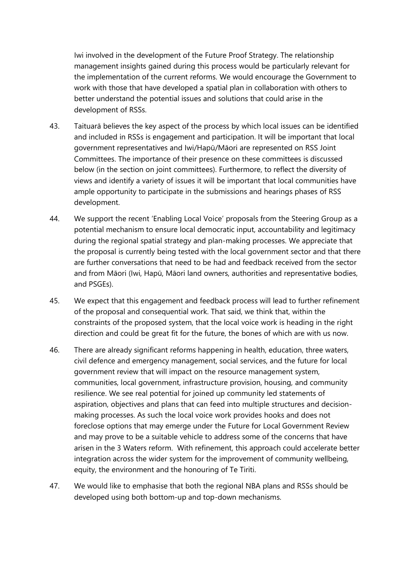Iwi involved in the development of the Future Proof Strategy. The relationship management insights gained during this process would be particularly relevant for the implementation of the current reforms. We would encourage the Government to work with those that have developed a spatial plan in collaboration with others to better understand the potential issues and solutions that could arise in the development of RSSs.

- 43. Taituarā believes the key aspect of the process by which local issues can be identified and included in RSSs is engagement and participation. It will be important that local government representatives and Iwi/Hapū/Māori are represented on RSS Joint Committees. The importance of their presence on these committees is discussed below (in the section on joint committees). Furthermore, to reflect the diversity of views and identify a variety of issues it will be important that local communities have ample opportunity to participate in the submissions and hearings phases of RSS development.
- 44. We support the recent 'Enabling Local Voice' proposals from the Steering Group as a potential mechanism to ensure local democratic input, accountability and legitimacy during the regional spatial strategy and plan-making processes. We appreciate that the proposal is currently being tested with the local government sector and that there are further conversations that need to be had and feedback received from the sector and from Māori (Iwi, Hapū, Māori land owners, authorities and representative bodies, and PSGEs).
- 45. We expect that this engagement and feedback process will lead to further refinement of the proposal and consequential work. That said, we think that, within the constraints of the proposed system, that the local voice work is heading in the right direction and could be great fit for the future, the bones of which are with us now.
- 46. There are already significant reforms happening in health, education, three waters, civil defence and emergency management, social services, and the future for local government review that will impact on the resource management system, communities, local government, infrastructure provision, housing, and community resilience. We see real potential for joined up community led statements of aspiration, objectives and plans that can feed into multiple structures and decisionmaking processes. As such the local voice work provides hooks and does not foreclose options that may emerge under the Future for Local Government Review and may prove to be a suitable vehicle to address some of the concerns that have arisen in the 3 Waters reform. With refinement, this approach could accelerate better integration across the wider system for the improvement of community wellbeing, equity, the environment and the honouring of Te Tiriti.
- 47. We would like to emphasise that both the regional NBA plans and RSSs should be developed using both bottom-up and top-down mechanisms.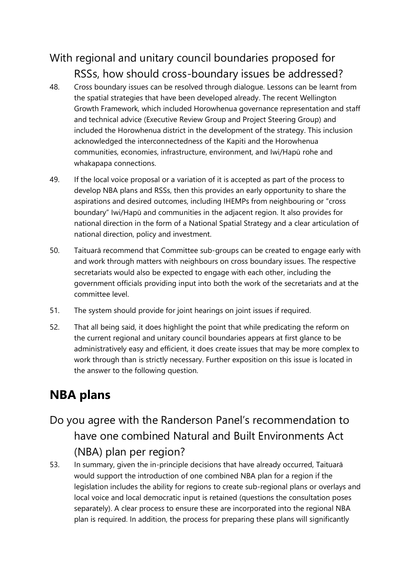#### With regional and unitary council boundaries proposed for RSSs, how should cross-boundary issues be addressed?

- 48. Cross boundary issues can be resolved through dialogue. Lessons can be learnt from the spatial strategies that have been developed already. The recent Wellington Growth Framework, which included Horowhenua governance representation and staff and technical advice (Executive Review Group and Project Steering Group) and included the Horowhenua district in the development of the strategy. This inclusion acknowledged the interconnectedness of the Kapiti and the Horowhenua communities, economies, infrastructure, environment, and Iwi/Hapū rohe and whakapapa connections.
- 49. If the local voice proposal or a variation of it is accepted as part of the process to develop NBA plans and RSSs, then this provides an early opportunity to share the aspirations and desired outcomes, including IHEMPs from neighbouring or "cross boundary" Iwi/Hapū and communities in the adjacent region. It also provides for national direction in the form of a National Spatial Strategy and a clear articulation of national direction, policy and investment.
- 50. Taituarā recommend that Committee sub-groups can be created to engage early with and work through matters with neighbours on cross boundary issues. The respective secretariats would also be expected to engage with each other, including the government officials providing input into both the work of the secretariats and at the committee level.
- 51. The system should provide for joint hearings on joint issues if required.
- 52. That all being said, it does highlight the point that while predicating the reform on the current regional and unitary council boundaries appears at first glance to be administratively easy and efficient, it does create issues that may be more complex to work through than is strictly necessary. Further exposition on this issue is located in the answer to the following question.

# **NBA plans**

- Do you agree with the Randerson Panel's recommendation to have one combined Natural and Built Environments Act (NBA) plan per region?
- 53. In summary, given the in-principle decisions that have already occurred, Taituarā would support the introduction of one combined NBA plan for a region if the legislation includes the ability for regions to create sub-regional plans or overlays and local voice and local democratic input is retained (questions the consultation poses separately). A clear process to ensure these are incorporated into the regional NBA plan is required. In addition, the process for preparing these plans will significantly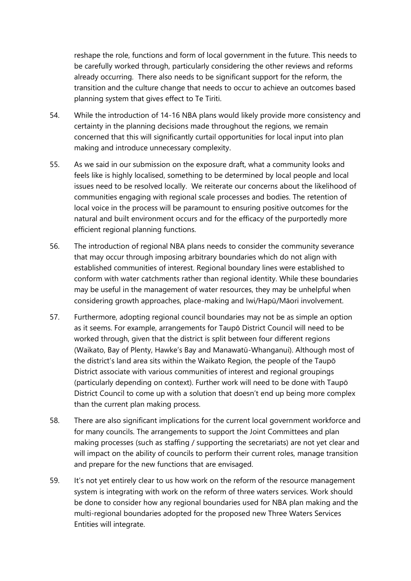reshape the role, functions and form of local government in the future. This needs to be carefully worked through, particularly considering the other reviews and reforms already occurring. There also needs to be significant support for the reform, the transition and the culture change that needs to occur to achieve an outcomes based planning system that gives effect to Te Tiriti.

- 54. While the introduction of 14-16 NBA plans would likely provide more consistency and certainty in the planning decisions made throughout the regions, we remain concerned that this will significantly curtail opportunities for local input into plan making and introduce unnecessary complexity.
- 55. As we said in our submission on the exposure draft, what a community looks and feels like is highly localised, something to be determined by local people and local issues need to be resolved locally. We reiterate our concerns about the likelihood of communities engaging with regional scale processes and bodies. The retention of local voice in the process will be paramount to ensuring positive outcomes for the natural and built environment occurs and for the efficacy of the purportedly more efficient regional planning functions.
- 56. The introduction of regional NBA plans needs to consider the community severance that may occur through imposing arbitrary boundaries which do not align with established communities of interest. Regional boundary lines were established to conform with water catchments rather than regional identity. While these boundaries may be useful in the management of water resources, they may be unhelpful when considering growth approaches, place-making and Iwi/Hapū/Māori involvement.
- 57. Furthermore, adopting regional council boundaries may not be as simple an option as it seems. For example, arrangements for Taupō District Council will need to be worked through, given that the district is split between four different regions (Waikato, Bay of Plenty, Hawke's Bay and Manawatū-Whanganui). Although most of the district's land area sits within the Waikato Region, the people of the Taupō District associate with various communities of interest and regional groupings (particularly depending on context). Further work will need to be done with Taupō District Council to come up with a solution that doesn't end up being more complex than the current plan making process.
- 58. There are also significant implications for the current local government workforce and for many councils. The arrangements to support the Joint Committees and plan making processes (such as staffing / supporting the secretariats) are not yet clear and will impact on the ability of councils to perform their current roles, manage transition and prepare for the new functions that are envisaged.
- 59. It's not yet entirely clear to us how work on the reform of the resource management system is integrating with work on the reform of three waters services. Work should be done to consider how any regional boundaries used for NBA plan making and the multi-regional boundaries adopted for the proposed new Three Waters Services Entities will integrate.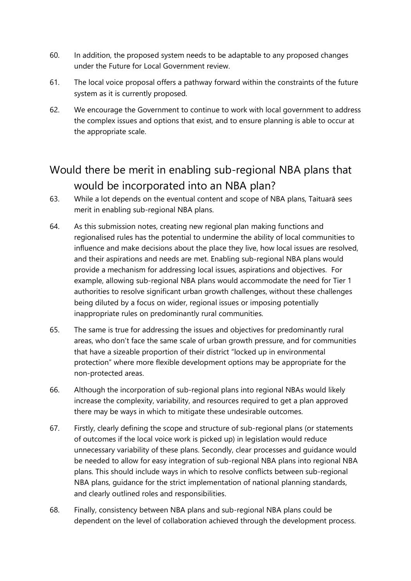- 60. In addition, the proposed system needs to be adaptable to any proposed changes under the Future for Local Government review.
- 61. The local voice proposal offers a pathway forward within the constraints of the future system as it is currently proposed.
- 62. We encourage the Government to continue to work with local government to address the complex issues and options that exist, and to ensure planning is able to occur at the appropriate scale.

#### Would there be merit in enabling sub-regional NBA plans that would be incorporated into an NBA plan?

- 63. While a lot depends on the eventual content and scope of NBA plans, Taituarā sees merit in enabling sub-regional NBA plans.
- 64. As this submission notes, creating new regional plan making functions and regionalised rules has the potential to undermine the ability of local communities to influence and make decisions about the place they live, how local issues are resolved, and their aspirations and needs are met. Enabling sub-regional NBA plans would provide a mechanism for addressing local issues, aspirations and objectives. For example, allowing sub-regional NBA plans would accommodate the need for Tier 1 authorities to resolve significant urban growth challenges, without these challenges being diluted by a focus on wider, regional issues or imposing potentially inappropriate rules on predominantly rural communities.
- 65. The same is true for addressing the issues and objectives for predominantly rural areas, who don't face the same scale of urban growth pressure, and for communities that have a sizeable proportion of their district "locked up in environmental protection" where more flexible development options may be appropriate for the non-protected areas.
- 66. Although the incorporation of sub-regional plans into regional NBAs would likely increase the complexity, variability, and resources required to get a plan approved there may be ways in which to mitigate these undesirable outcomes.
- 67. Firstly, clearly defining the scope and structure of sub-regional plans (or statements of outcomes if the local voice work is picked up) in legislation would reduce unnecessary variability of these plans. Secondly, clear processes and guidance would be needed to allow for easy integration of sub-regional NBA plans into regional NBA plans. This should include ways in which to resolve conflicts between sub-regional NBA plans, guidance for the strict implementation of national planning standards, and clearly outlined roles and responsibilities.
- 68. Finally, consistency between NBA plans and sub-regional NBA plans could be dependent on the level of collaboration achieved through the development process.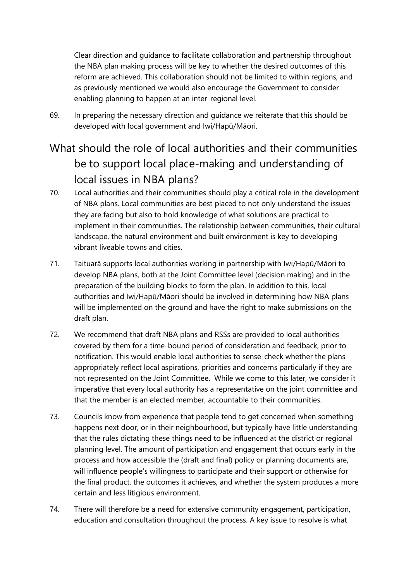Clear direction and guidance to facilitate collaboration and partnership throughout the NBA plan making process will be key to whether the desired outcomes of this reform are achieved. This collaboration should not be limited to within regions, and as previously mentioned we would also encourage the Government to consider enabling planning to happen at an inter-regional level.

69. In preparing the necessary direction and guidance we reiterate that this should be developed with local government and Iwi/Hapū/Māori.

# What should the role of local authorities and their communities be to support local place-making and understanding of local issues in NBA plans?

- 70. Local authorities and their communities should play a critical role in the development of NBA plans. Local communities are best placed to not only understand the issues they are facing but also to hold knowledge of what solutions are practical to implement in their communities. The relationship between communities, their cultural landscape, the natural environment and built environment is key to developing vibrant liveable towns and cities.
- 71. Taituarā supports local authorities working in partnership with Iwi/Hapū/Māori to develop NBA plans, both at the Joint Committee level (decision making) and in the preparation of the building blocks to form the plan. In addition to this, local authorities and Iwi/Hapū/Māori should be involved in determining how NBA plans will be implemented on the ground and have the right to make submissions on the draft plan.
- 72. We recommend that draft NBA plans and RSSs are provided to local authorities covered by them for a time-bound period of consideration and feedback, prior to notification. This would enable local authorities to sense-check whether the plans appropriately reflect local aspirations, priorities and concerns particularly if they are not represented on the Joint Committee. While we come to this later, we consider it imperative that every local authority has a representative on the joint committee and that the member is an elected member, accountable to their communities.
- 73. Councils know from experience that people tend to get concerned when something happens next door, or in their neighbourhood, but typically have little understanding that the rules dictating these things need to be influenced at the district or regional planning level. The amount of participation and engagement that occurs early in the process and how accessible the (draft and final) policy or planning documents are, will influence people's willingness to participate and their support or otherwise for the final product, the outcomes it achieves, and whether the system produces a more certain and less litigious environment.
- 74. There will therefore be a need for extensive community engagement, participation, education and consultation throughout the process. A key issue to resolve is what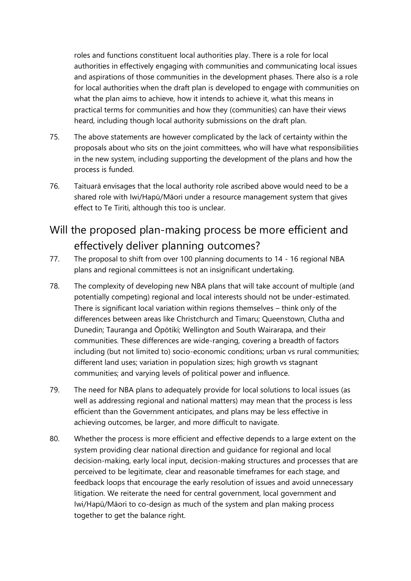roles and functions constituent local authorities play. There is a role for local authorities in effectively engaging with communities and communicating local issues and aspirations of those communities in the development phases. There also is a role for local authorities when the draft plan is developed to engage with communities on what the plan aims to achieve, how it intends to achieve it, what this means in practical terms for communities and how they (communities) can have their views heard, including though local authority submissions on the draft plan.

- 75. The above statements are however complicated by the lack of certainty within the proposals about who sits on the joint committees, who will have what responsibilities in the new system, including supporting the development of the plans and how the process is funded.
- 76. Taituarā envisages that the local authority role ascribed above would need to be a shared role with Iwi/Hapū/Māori under a resource management system that gives effect to Te Tiriti, although this too is unclear.

#### Will the proposed plan-making process be more efficient and effectively deliver planning outcomes?

- 77. The proposal to shift from over 100 planning documents to 14 16 regional NBA plans and regional committees is not an insignificant undertaking.
- 78. The complexity of developing new NBA plans that will take account of multiple (and potentially competing) regional and local interests should not be under-estimated. There is significant local variation within regions themselves – think only of the differences between areas like Christchurch and Timaru; Queenstown, Clutha and Dunedin; Tauranga and Ōpōtiki; Wellington and South Wairarapa, and their communities. These differences are wide-ranging, covering a breadth of factors including (but not limited to) socio-economic conditions; urban vs rural communities; different land uses; variation in population sizes; high growth vs stagnant communities; and varying levels of political power and influence.
- 79. The need for NBA plans to adequately provide for local solutions to local issues (as well as addressing regional and national matters) may mean that the process is less efficient than the Government anticipates, and plans may be less effective in achieving outcomes, be larger, and more difficult to navigate.
- 80. Whether the process is more efficient and effective depends to a large extent on the system providing clear national direction and guidance for regional and local decision-making, early local input, decision-making structures and processes that are perceived to be legitimate, clear and reasonable timeframes for each stage, and feedback loops that encourage the early resolution of issues and avoid unnecessary litigation. We reiterate the need for central government, local government and Iwi/Hapū/Māori to co-design as much of the system and plan making process together to get the balance right.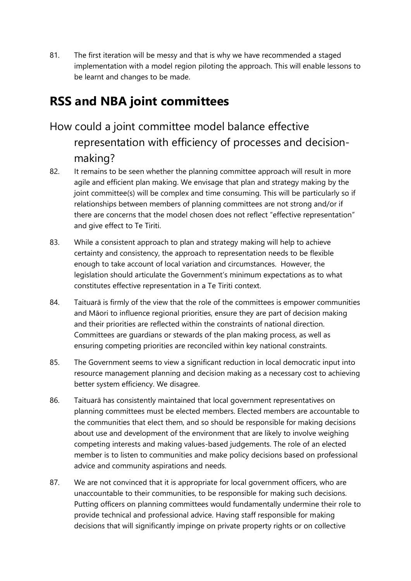81. The first iteration will be messy and that is why we have recommended a staged implementation with a model region piloting the approach. This will enable lessons to be learnt and changes to be made.

# **RSS and NBA joint committees**

- How could a joint committee model balance effective representation with efficiency of processes and decisionmaking?
- 82. It remains to be seen whether the planning committee approach will result in more agile and efficient plan making. We envisage that plan and strategy making by the joint committee(s) will be complex and time consuming. This will be particularly so if relationships between members of planning committees are not strong and/or if there are concerns that the model chosen does not reflect "effective representation" and give effect to Te Tiriti.
- 83. While a consistent approach to plan and strategy making will help to achieve certainty and consistency, the approach to representation needs to be flexible enough to take account of local variation and circumstances. However, the legislation should articulate the Government's minimum expectations as to what constitutes effective representation in a Te Tiriti context.
- 84. Taituarā is firmly of the view that the role of the committees is empower communities and Māori to influence regional priorities, ensure they are part of decision making and their priorities are reflected within the constraints of national direction. Committees are guardians or stewards of the plan making process, as well as ensuring competing priorities are reconciled within key national constraints.
- 85. The Government seems to view a significant reduction in local democratic input into resource management planning and decision making as a necessary cost to achieving better system efficiency. We disagree.
- 86. Taituarā has consistently maintained that local government representatives on planning committees must be elected members. Elected members are accountable to the communities that elect them, and so should be responsible for making decisions about use and development of the environment that are likely to involve weighing competing interests and making values-based judgements. The role of an elected member is to listen to communities and make policy decisions based on professional advice and community aspirations and needs.
- 87. We are not convinced that it is appropriate for local government officers, who are unaccountable to their communities, to be responsible for making such decisions. Putting officers on planning committees would fundamentally undermine their role to provide technical and professional advice. Having staff responsible for making decisions that will significantly impinge on private property rights or on collective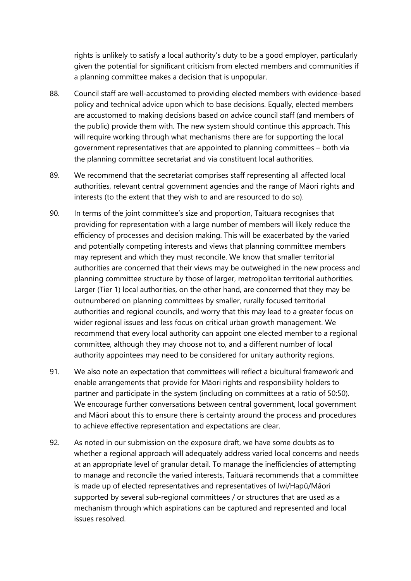rights is unlikely to satisfy a local authority's duty to be a good employer, particularly given the potential for significant criticism from elected members and communities if a planning committee makes a decision that is unpopular.

- 88. Council staff are well-accustomed to providing elected members with evidence-based policy and technical advice upon which to base decisions. Equally, elected members are accustomed to making decisions based on advice council staff (and members of the public) provide them with. The new system should continue this approach. This will require working through what mechanisms there are for supporting the local government representatives that are appointed to planning committees – both via the planning committee secretariat and via constituent local authorities.
- 89. We recommend that the secretariat comprises staff representing all affected local authorities, relevant central government agencies and the range of Māori rights and interests (to the extent that they wish to and are resourced to do so).
- 90. In terms of the joint committee's size and proportion, Taituarā recognises that providing for representation with a large number of members will likely reduce the efficiency of processes and decision making. This will be exacerbated by the varied and potentially competing interests and views that planning committee members may represent and which they must reconcile. We know that smaller territorial authorities are concerned that their views may be outweighed in the new process and planning committee structure by those of larger, metropolitan territorial authorities. Larger (Tier 1) local authorities, on the other hand, are concerned that they may be outnumbered on planning committees by smaller, rurally focused territorial authorities and regional councils, and worry that this may lead to a greater focus on wider regional issues and less focus on critical urban growth management. We recommend that every local authority can appoint one elected member to a regional committee, although they may choose not to, and a different number of local authority appointees may need to be considered for unitary authority regions.
- 91. We also note an expectation that committees will reflect a bicultural framework and enable arrangements that provide for Māori rights and responsibility holders to partner and participate in the system (including on committees at a ratio of 50:50). We encourage further conversations between central government, local government and Māori about this to ensure there is certainty around the process and procedures to achieve effective representation and expectations are clear.
- 92. As noted in our submission on the exposure draft, we have some doubts as to whether a regional approach will adequately address varied local concerns and needs at an appropriate level of granular detail. To manage the inefficiencies of attempting to manage and reconcile the varied interests, Taituarā recommends that a committee is made up of elected representatives and representatives of Iwi/Hapū/Māori supported by several sub-regional committees / or structures that are used as a mechanism through which aspirations can be captured and represented and local issues resolved.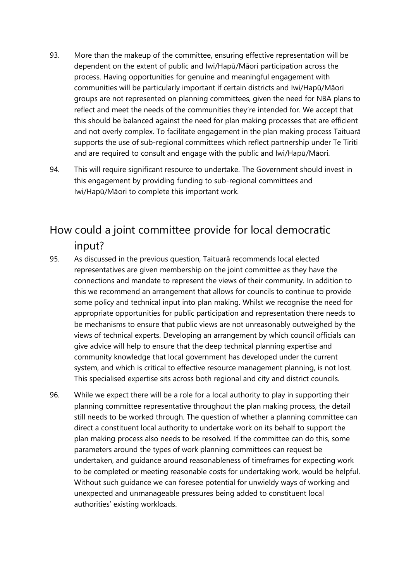- 93. More than the makeup of the committee, ensuring effective representation will be dependent on the extent of public and Iwi/Hapū/Māori participation across the process. Having opportunities for genuine and meaningful engagement with communities will be particularly important if certain districts and Iwi/Hapū/Māori groups are not represented on planning committees, given the need for NBA plans to reflect and meet the needs of the communities they're intended for. We accept that this should be balanced against the need for plan making processes that are efficient and not overly complex. To facilitate engagement in the plan making process Taituarā supports the use of sub-regional committees which reflect partnership under Te Tiriti and are required to consult and engage with the public and Iwi/Hapū/Māori.
- 94. This will require significant resource to undertake. The Government should invest in this engagement by providing funding to sub-regional committees and Iwi/Hapū/Māori to complete this important work.

#### How could a joint committee provide for local democratic input?

- 95. As discussed in the previous question, Taituarā recommends local elected representatives are given membership on the joint committee as they have the connections and mandate to represent the views of their community. In addition to this we recommend an arrangement that allows for councils to continue to provide some policy and technical input into plan making. Whilst we recognise the need for appropriate opportunities for public participation and representation there needs to be mechanisms to ensure that public views are not unreasonably outweighed by the views of technical experts. Developing an arrangement by which council officials can give advice will help to ensure that the deep technical planning expertise and community knowledge that local government has developed under the current system, and which is critical to effective resource management planning, is not lost. This specialised expertise sits across both regional and city and district councils.
- 96. While we expect there will be a role for a local authority to play in supporting their planning committee representative throughout the plan making process, the detail still needs to be worked through. The question of whether a planning committee can direct a constituent local authority to undertake work on its behalf to support the plan making process also needs to be resolved. If the committee can do this, some parameters around the types of work planning committees can request be undertaken, and guidance around reasonableness of timeframes for expecting work to be completed or meeting reasonable costs for undertaking work, would be helpful. Without such guidance we can foresee potential for unwieldy ways of working and unexpected and unmanageable pressures being added to constituent local authorities' existing workloads.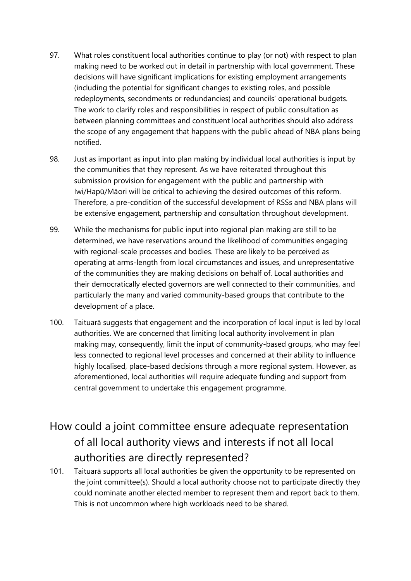- 97. What roles constituent local authorities continue to play (or not) with respect to plan making need to be worked out in detail in partnership with local government. These decisions will have significant implications for existing employment arrangements (including the potential for significant changes to existing roles, and possible redeployments, secondments or redundancies) and councils' operational budgets. The work to clarify roles and responsibilities in respect of public consultation as between planning committees and constituent local authorities should also address the scope of any engagement that happens with the public ahead of NBA plans being notified.
- 98. Just as important as input into plan making by individual local authorities is input by the communities that they represent. As we have reiterated throughout this submission provision for engagement with the public and partnership with Iwi/Hapū/Māori will be critical to achieving the desired outcomes of this reform. Therefore, a pre-condition of the successful development of RSSs and NBA plans will be extensive engagement, partnership and consultation throughout development.
- 99. While the mechanisms for public input into regional plan making are still to be determined, we have reservations around the likelihood of communities engaging with regional-scale processes and bodies. These are likely to be perceived as operating at arms-length from local circumstances and issues, and unrepresentative of the communities they are making decisions on behalf of. Local authorities and their democratically elected governors are well connected to their communities, and particularly the many and varied community-based groups that contribute to the development of a place.
- 100. Taituarā suggests that engagement and the incorporation of local input is led by local authorities. We are concerned that limiting local authority involvement in plan making may, consequently, limit the input of community-based groups, who may feel less connected to regional level processes and concerned at their ability to influence highly localised, place-based decisions through a more regional system. However, as aforementioned, local authorities will require adequate funding and support from central government to undertake this engagement programme.

#### How could a joint committee ensure adequate representation of all local authority views and interests if not all local authorities are directly represented?

101. Taituarā supports all local authorities be given the opportunity to be represented on the joint committee(s). Should a local authority choose not to participate directly they could nominate another elected member to represent them and report back to them. This is not uncommon where high workloads need to be shared.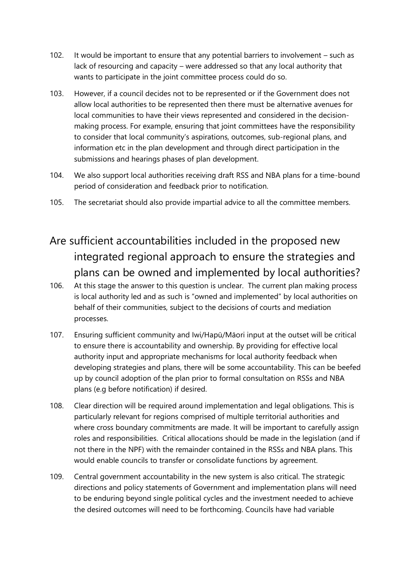- 102. It would be important to ensure that any potential barriers to involvement such as lack of resourcing and capacity – were addressed so that any local authority that wants to participate in the joint committee process could do so.
- 103. However, if a council decides not to be represented or if the Government does not allow local authorities to be represented then there must be alternative avenues for local communities to have their views represented and considered in the decisionmaking process. For example, ensuring that joint committees have the responsibility to consider that local community's aspirations, outcomes, sub-regional plans, and information etc in the plan development and through direct participation in the submissions and hearings phases of plan development.
- 104. We also support local authorities receiving draft RSS and NBA plans for a time-bound period of consideration and feedback prior to notification.
- 105. The secretariat should also provide impartial advice to all the committee members.
- Are sufficient accountabilities included in the proposed new integrated regional approach to ensure the strategies and plans can be owned and implemented by local authorities?
- 106. At this stage the answer to this question is unclear. The current plan making process is local authority led and as such is "owned and implemented" by local authorities on behalf of their communities, subject to the decisions of courts and mediation processes.
- 107. Ensuring sufficient community and Iwi/Hapū/Māori input at the outset will be critical to ensure there is accountability and ownership. By providing for effective local authority input and appropriate mechanisms for local authority feedback when developing strategies and plans, there will be some accountability. This can be beefed up by council adoption of the plan prior to formal consultation on RSSs and NBA plans (e.g before notification) if desired.
- 108. Clear direction will be required around implementation and legal obligations. This is particularly relevant for regions comprised of multiple territorial authorities and where cross boundary commitments are made. It will be important to carefully assign roles and responsibilities. Critical allocations should be made in the legislation (and if not there in the NPF) with the remainder contained in the RSSs and NBA plans. This would enable councils to transfer or consolidate functions by agreement.
- 109. Central government accountability in the new system is also critical. The strategic directions and policy statements of Government and implementation plans will need to be enduring beyond single political cycles and the investment needed to achieve the desired outcomes will need to be forthcoming. Councils have had variable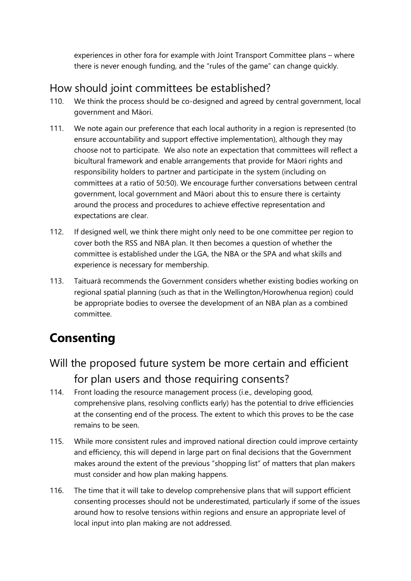experiences in other fora for example with Joint Transport Committee plans – where there is never enough funding, and the "rules of the game" can change quickly.

#### How should joint committees be established?

- 110. We think the process should be co-designed and agreed by central government, local government and Māori.
- 111. We note again our preference that each local authority in a region is represented (to ensure accountability and support effective implementation), although they may choose not to participate. We also note an expectation that committees will reflect a bicultural framework and enable arrangements that provide for Māori rights and responsibility holders to partner and participate in the system (including on committees at a ratio of 50:50). We encourage further conversations between central government, local government and Māori about this to ensure there is certainty around the process and procedures to achieve effective representation and expectations are clear.
- 112. If designed well, we think there might only need to be one committee per region to cover both the RSS and NBA plan. It then becomes a question of whether the committee is established under the LGA, the NBA or the SPA and what skills and experience is necessary for membership.
- 113. Taituarā recommends the Government considers whether existing bodies working on regional spatial planning (such as that in the Wellington/Horowhenua region) could be appropriate bodies to oversee the development of an NBA plan as a combined committee.

# **Consenting**

- Will the proposed future system be more certain and efficient for plan users and those requiring consents?
- 114. Front loading the resource management process (i.e., developing good, comprehensive plans, resolving conflicts early) has the potential to drive efficiencies at the consenting end of the process. The extent to which this proves to be the case remains to be seen.
- 115. While more consistent rules and improved national direction could improve certainty and efficiency, this will depend in large part on final decisions that the Government makes around the extent of the previous "shopping list" of matters that plan makers must consider and how plan making happens.
- 116. The time that it will take to develop comprehensive plans that will support efficient consenting processes should not be underestimated, particularly if some of the issues around how to resolve tensions within regions and ensure an appropriate level of local input into plan making are not addressed.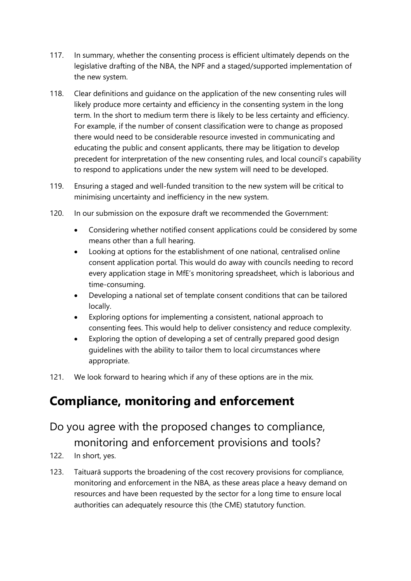- 117. In summary, whether the consenting process is efficient ultimately depends on the legislative drafting of the NBA, the NPF and a staged/supported implementation of the new system.
- 118. Clear definitions and guidance on the application of the new consenting rules will likely produce more certainty and efficiency in the consenting system in the long term. In the short to medium term there is likely to be less certainty and efficiency. For example, if the number of consent classification were to change as proposed there would need to be considerable resource invested in communicating and educating the public and consent applicants, there may be litigation to develop precedent for interpretation of the new consenting rules, and local council's capability to respond to applications under the new system will need to be developed.
- 119. Ensuring a staged and well-funded transition to the new system will be critical to minimising uncertainty and inefficiency in the new system.
- 120. In our submission on the exposure draft we recommended the Government:
	- Considering whether notified consent applications could be considered by some means other than a full hearing.
	- Looking at options for the establishment of one national, centralised online consent application portal. This would do away with councils needing to record every application stage in MfE's monitoring spreadsheet, which is laborious and time-consuming.
	- Developing a national set of template consent conditions that can be tailored locally.
	- Exploring options for implementing a consistent, national approach to consenting fees. This would help to deliver consistency and reduce complexity.
	- Exploring the option of developing a set of centrally prepared good design guidelines with the ability to tailor them to local circumstances where appropriate.
- 121. We look forward to hearing which if any of these options are in the mix.

### **Compliance, monitoring and enforcement**

# Do you agree with the proposed changes to compliance, monitoring and enforcement provisions and tools?

- 122. In short, yes.
- 123. Taituarā supports the broadening of the cost recovery provisions for compliance, monitoring and enforcement in the NBA, as these areas place a heavy demand on resources and have been requested by the sector for a long time to ensure local authorities can adequately resource this (the CME) statutory function.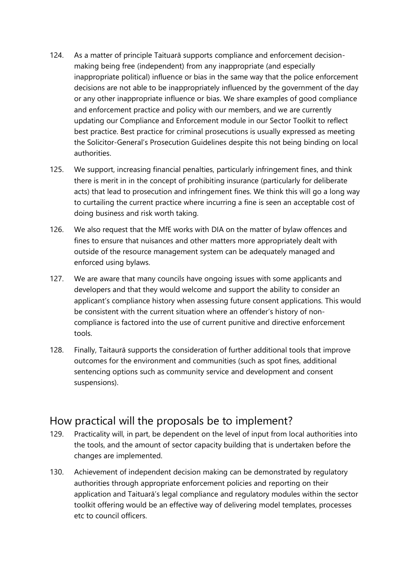- 124. As a matter of principle Taituarā supports compliance and enforcement decisionmaking being free (independent) from any inappropriate (and especially inappropriate political) influence or bias in the same way that the police enforcement decisions are not able to be inappropriately influenced by the government of the day or any other inappropriate influence or bias. We share examples of good compliance and enforcement practice and policy with our members, and we are currently updating our Compliance and Enforcement module in our Sector Toolkit to reflect best practice. Best practice for criminal prosecutions is usually expressed as meeting the Solicitor-General's Prosecution Guidelines despite this not being binding on local authorities.
- 125. We support, increasing financial penalties, particularly infringement fines, and think there is merit in in the concept of prohibiting insurance (particularly for deliberate acts) that lead to prosecution and infringement fines. We think this will go a long way to curtailing the current practice where incurring a fine is seen an acceptable cost of doing business and risk worth taking.
- 126. We also request that the MfE works with DIA on the matter of bylaw offences and fines to ensure that nuisances and other matters more appropriately dealt with outside of the resource management system can be adequately managed and enforced using bylaws.
- 127. We are aware that many councils have ongoing issues with some applicants and developers and that they would welcome and support the ability to consider an applicant's compliance history when assessing future consent applications. This would be consistent with the current situation where an offender's history of noncompliance is factored into the use of current punitive and directive enforcement tools.
- 128. Finally, Taitaurā supports the consideration of further additional tools that improve outcomes for the environment and communities (such as spot fines, additional sentencing options such as community service and development and consent suspensions).

#### How practical will the proposals be to implement?

- 129. Practicality will, in part, be dependent on the level of input from local authorities into the tools, and the amount of sector capacity building that is undertaken before the changes are implemented.
- 130. Achievement of independent decision making can be demonstrated by regulatory authorities through appropriate enforcement policies and reporting on their application and Taituarā's legal compliance and regulatory modules within the sector toolkit offering would be an effective way of delivering model templates, processes etc to council officers.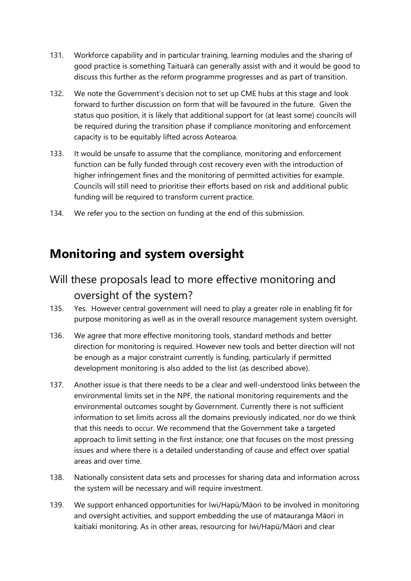- 131. Workforce capability and in particular training, learning modules and the sharing of good practice is something Taituarā can generally assist with and it would be good to discuss this further as the reform programme progresses and as part of transition.
- 132. We note the Government's decision not to set up CME hubs at this stage and look forward to further discussion on form that will be favoured in the future. Given the status quo position, it is likely that additional support for (at least some) councils will be required during the transition phase if compliance monitoring and enforcement capacity is to be equitably lifted across Aotearoa.
- 133. It would be unsafe to assume that the compliance, monitoring and enforcement function can be fully funded through cost recovery even with the introduction of higher infringement fines and the monitoring of permitted activities for example. Councils will still need to prioritise their efforts based on risk and additional public funding will be required to transform current practice.
- 134. We refer you to the section on funding at the end of this submission.

#### **Monitoring and system oversight**

#### Will these proposals lead to more effective monitoring and oversight of the system?

- 135. Yes. However central government will need to play a greater role in enabling fit for purpose monitoring as well as in the overall resource management system oversight.
- 136. We agree that more effective monitoring tools, standard methods and better direction for monitoring is required. However new tools and better direction will not be enough as a major constraint currently is funding, particularly if permitted development monitoring is also added to the list (as described above).
- 137. Another issue is that there needs to be a clear and well-understood links between the environmental limits set in the NPF, the national monitoring requirements and the environmental outcomes sought by Government. Currently there is not sufficient information to set limits across all the domains previously indicated, nor do we think that this needs to occur. We recommend that the Government take a targeted approach to limit setting in the first instance; one that focuses on the most pressing issues and where there is a detailed understanding of cause and effect over spatial areas and over time.
- 138. Nationally consistent data sets and processes for sharing data and information across the system will be necessary and will require investment.
- 139. We support enhanced opportunities for Iwi/Hapū/Māori to be involved in monitoring and oversight activities, and support embedding the use of mātauranga Māori in kaitiaki monitoring. As in other areas, resourcing for Iwi/Hapū/Māori and clear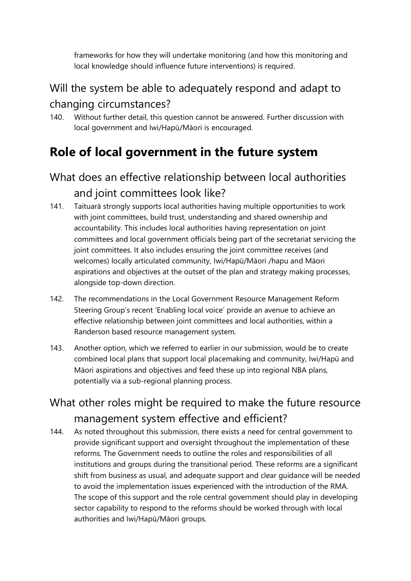frameworks for how they will undertake monitoring (and how this monitoring and local knowledge should influence future interventions) is required.

#### Will the system be able to adequately respond and adapt to changing circumstances?

140. Without further detail, this question cannot be answered. Further discussion with local government and Iwi/Hapū/Māori is encouraged.

# **Role of local government in the future system**

#### What does an effective relationship between local authorities and joint committees look like?

- 141. Taituarā strongly supports local authorities having multiple opportunities to work with joint committees, build trust, understanding and shared ownership and accountability. This includes local authorities having representation on joint committees and local government officials being part of the secretariat servicing the joint committees. It also includes ensuring the joint committee receives (and welcomes) locally articulated community, Iwi/Hapū/Māori /hapu and Māori aspirations and objectives at the outset of the plan and strategy making processes, alongside top-down direction.
- 142. The recommendations in the Local Government Resource Management Reform Steering Group's recent 'Enabling local voice' provide an avenue to achieve an effective relationship between joint committees and local authorities, within a Randerson based resource management system.
- 143. Another option, which we referred to earlier in our submission, would be to create combined local plans that support local placemaking and community, Iwi/Hapū and Māori aspirations and objectives and feed these up into regional NBA plans, potentially via a sub-regional planning process.

#### What other roles might be required to make the future resource management system effective and efficient?

144. As noted throughout this submission, there exists a need for central government to provide significant support and oversight throughout the implementation of these reforms. The Government needs to outline the roles and responsibilities of all institutions and groups during the transitional period. These reforms are a significant shift from business as usual, and adequate support and clear guidance will be needed to avoid the implementation issues experienced with the introduction of the RMA. The scope of this support and the role central government should play in developing sector capability to respond to the reforms should be worked through with local authorities and Iwi/Hapū/Māori groups.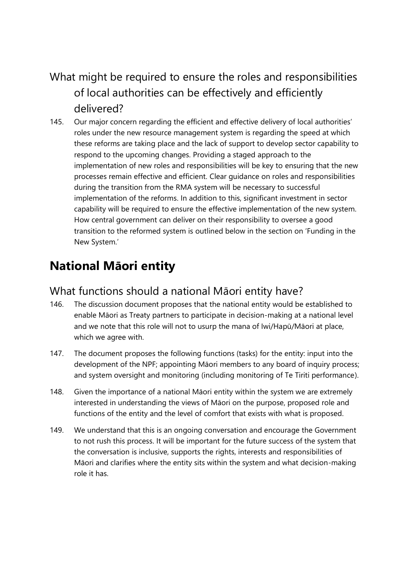#### What might be required to ensure the roles and responsibilities of local authorities can be effectively and efficiently delivered?

145. Our major concern regarding the efficient and effective delivery of local authorities' roles under the new resource management system is regarding the speed at which these reforms are taking place and the lack of support to develop sector capability to respond to the upcoming changes. Providing a staged approach to the implementation of new roles and responsibilities will be key to ensuring that the new processes remain effective and efficient. Clear guidance on roles and responsibilities during the transition from the RMA system will be necessary to successful implementation of the reforms. In addition to this, significant investment in sector capability will be required to ensure the effective implementation of the new system. How central government can deliver on their responsibility to oversee a good transition to the reformed system is outlined below in the section on 'Funding in the New System.'

# **National Māori entity**

#### What functions should a national Māori entity have?

- 146. The discussion document proposes that the national entity would be established to enable Māori as Treaty partners to participate in decision-making at a national level and we note that this role will not to usurp the mana of Iwi/Hapū/Māori at place, which we agree with.
- 147. The document proposes the following functions (tasks) for the entity: input into the development of the NPF; appointing Māori members to any board of inquiry process; and system oversight and monitoring (including monitoring of Te Tiriti performance).
- 148. Given the importance of a national Māori entity within the system we are extremely interested in understanding the views of Māori on the purpose, proposed role and functions of the entity and the level of comfort that exists with what is proposed.
- 149. We understand that this is an ongoing conversation and encourage the Government to not rush this process. It will be important for the future success of the system that the conversation is inclusive, supports the rights, interests and responsibilities of Māori and clarifies where the entity sits within the system and what decision-making role it has.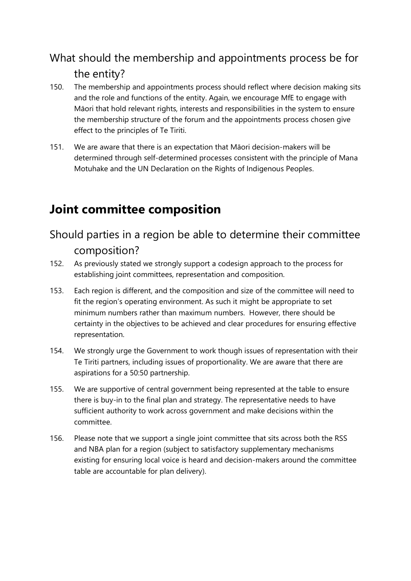#### What should the membership and appointments process be for the entity?

- 150. The membership and appointments process should reflect where decision making sits and the role and functions of the entity. Again, we encourage MfE to engage with Māori that hold relevant rights, interests and responsibilities in the system to ensure the membership structure of the forum and the appointments process chosen give effect to the principles of Te Tiriti.
- 151. We are aware that there is an expectation that Māori decision-makers will be determined through self-determined processes consistent with the principle of Mana Motuhake and the UN Declaration on the Rights of Indigenous Peoples.

### **Joint committee composition**

Should parties in a region be able to determine their committee composition?

- 152. As previously stated we strongly support a codesign approach to the process for establishing joint committees, representation and composition.
- 153. Each region is different, and the composition and size of the committee will need to fit the region's operating environment. As such it might be appropriate to set minimum numbers rather than maximum numbers. However, there should be certainty in the objectives to be achieved and clear procedures for ensuring effective representation.
- 154. We strongly urge the Government to work though issues of representation with their Te Tiriti partners, including issues of proportionality. We are aware that there are aspirations for a 50:50 partnership.
- 155. We are supportive of central government being represented at the table to ensure there is buy-in to the final plan and strategy. The representative needs to have sufficient authority to work across government and make decisions within the committee.
- 156. Please note that we support a single joint committee that sits across both the RSS and NBA plan for a region (subject to satisfactory supplementary mechanisms existing for ensuring local voice is heard and decision-makers around the committee table are accountable for plan delivery).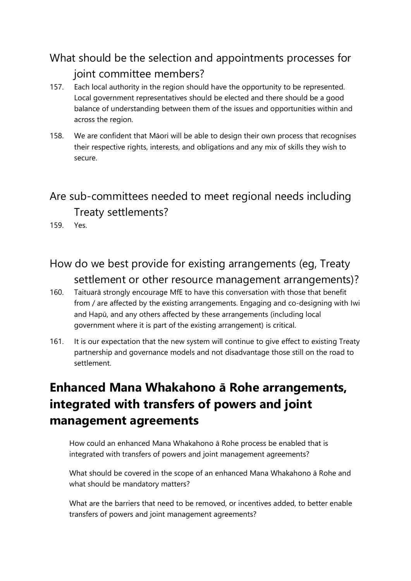### What should be the selection and appointments processes for joint committee members?

- 157. Each local authority in the region should have the opportunity to be represented. Local government representatives should be elected and there should be a good balance of understanding between them of the issues and opportunities within and across the region.
- 158. We are confident that Māori will be able to design their own process that recognises their respective rights, interests, and obligations and any mix of skills they wish to secure.

# Are sub-committees needed to meet regional needs including Treaty settlements?

159. Yes.

- How do we best provide for existing arrangements (eg, Treaty settlement or other resource management arrangements)?
- 160. Taituarā strongly encourage MfE to have this conversation with those that benefit from / are affected by the existing arrangements. Engaging and co-designing with Iwi and Hapū, and any others affected by these arrangements (including local government where it is part of the existing arrangement) is critical.
- 161. It is our expectation that the new system will continue to give effect to existing Treaty partnership and governance models and not disadvantage those still on the road to settlement.

# **Enhanced Mana Whakahono ā Rohe arrangements, integrated with transfers of powers and joint management agreements**

How could an enhanced Mana Whakahono ā Rohe process be enabled that is integrated with transfers of powers and joint management agreements?

What should be covered in the scope of an enhanced Mana Whakahono ā Rohe and what should be mandatory matters?

What are the barriers that need to be removed, or incentives added, to better enable transfers of powers and joint management agreements?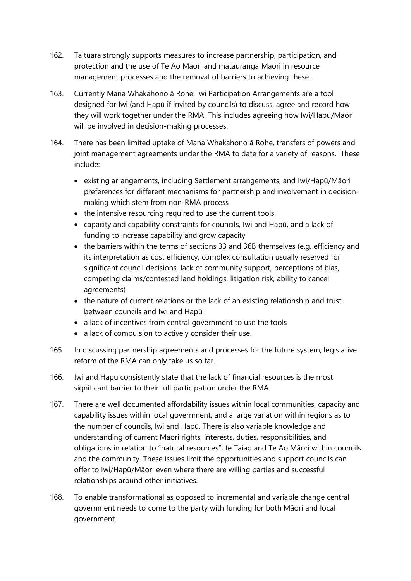- 162. Taituarā strongly supports measures to increase partnership, participation, and protection and the use of Te Ao Māori and matauranga Māori in resource management processes and the removal of barriers to achieving these.
- 163. Currently Mana Whakahono ā Rohe: Iwi Participation Arrangements are a tool designed for Iwi (and Hapū if invited by councils) to discuss, agree and record how they will work together under the RMA. This includes agreeing how Iwi/Hapū/Māori will be involved in decision-making processes.
- 164. There has been limited uptake of Mana Whakahono ā Rohe, transfers of powers and joint management agreements under the RMA to date for a variety of reasons. These include:
	- existing arrangements, including Settlement arrangements, and Iwi/Hapū/Māori preferences for different mechanisms for partnership and involvement in decisionmaking which stem from non-RMA process
	- the intensive resourcing required to use the current tools
	- capacity and capability constraints for councils, Iwi and Hapū, and a lack of funding to increase capability and grow capacity
	- the barriers within the terms of sections 33 and 36B themselves (e.g. efficiency and its interpretation as cost efficiency, complex consultation usually reserved for significant council decisions, lack of community support, perceptions of bias, competing claims/contested land holdings, litigation risk, ability to cancel agreements)
	- the nature of current relations or the lack of an existing relationship and trust between councils and Iwi and Hapū
	- a lack of incentives from central government to use the tools
	- a lack of compulsion to actively consider their use.
- 165. In discussing partnership agreements and processes for the future system, legislative reform of the RMA can only take us so far.
- 166. Iwi and Hapū consistently state that the lack of financial resources is the most significant barrier to their full participation under the RMA.
- 167. There are well documented affordability issues within local communities, capacity and capability issues within local government, and a large variation within regions as to the number of councils, Iwi and Hapū. There is also variable knowledge and understanding of current Māori rights, interests, duties, responsibilities, and obligations in relation to "natural resources", te Taiao and Te Ao Māori within councils and the community. These issues limit the opportunities and support councils can offer to Iwi/Hapū/Māori even where there are willing parties and successful relationships around other initiatives.
- 168. To enable transformational as opposed to incremental and variable change central government needs to come to the party with funding for both Māori and local government.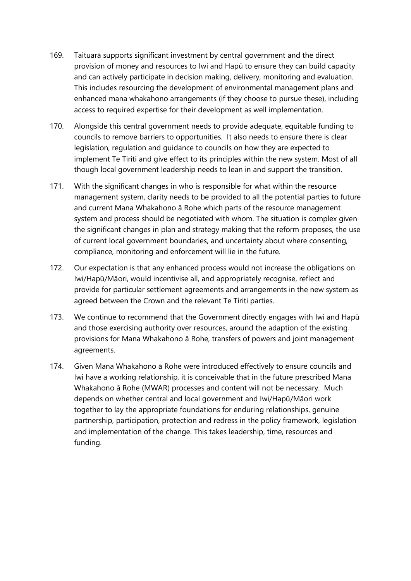- 169. Taituarā supports significant investment by central government and the direct provision of money and resources to Iwi and Hapū to ensure they can build capacity and can actively participate in decision making, delivery, monitoring and evaluation. This includes resourcing the development of environmental management plans and enhanced mana whakahono arrangements (if they choose to pursue these), including access to required expertise for their development as well implementation.
- 170. Alongside this central government needs to provide adequate, equitable funding to councils to remove barriers to opportunities. It also needs to ensure there is clear legislation, regulation and guidance to councils on how they are expected to implement Te Tiriti and give effect to its principles within the new system. Most of all though local government leadership needs to lean in and support the transition.
- 171. With the significant changes in who is responsible for what within the resource management system, clarity needs to be provided to all the potential parties to future and current Mana Whakahono ā Rohe which parts of the resource management system and process should be negotiated with whom. The situation is complex given the significant changes in plan and strategy making that the reform proposes, the use of current local government boundaries, and uncertainty about where consenting, compliance, monitoring and enforcement will lie in the future.
- 172. Our expectation is that any enhanced process would not increase the obligations on Iwi/Hapū/Māori, would incentivise all, and appropriately recognise, reflect and provide for particular settlement agreements and arrangements in the new system as agreed between the Crown and the relevant Te Tiriti parties.
- 173. We continue to recommend that the Government directly engages with Iwi and Hapū and those exercising authority over resources, around the adaption of the existing provisions for Mana Whakahono ā Rohe, transfers of powers and joint management agreements.
- 174. Given Mana Whakahono ā Rohe were introduced effectively to ensure councils and Iwi have a working relationship, it is conceivable that in the future prescribed Mana Whakahono ā Rohe (MWAR) processes and content will not be necessary. Much depends on whether central and local government and Iwi/Hapū/Māori work together to lay the appropriate foundations for enduring relationships, genuine partnership, participation, protection and redress in the policy framework, legislation and implementation of the change. This takes leadership, time, resources and funding.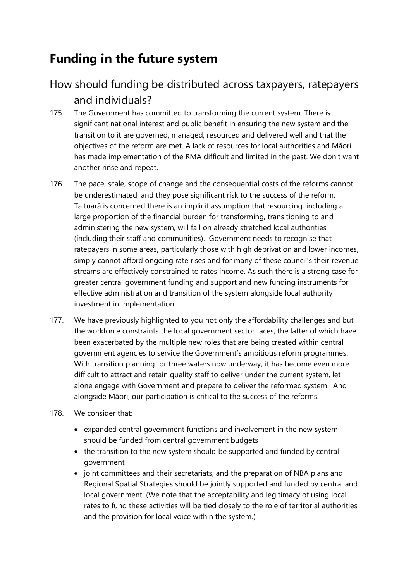# **Funding in the future system**

#### How should funding be distributed across taxpayers, ratepayers and individuals?

- 175. The Government has committed to transforming the current system. There is significant national interest and public benefit in ensuring the new system and the transition to it are governed, managed, resourced and delivered well and that the objectives of the reform are met. A lack of resources for local authorities and Māori has made implementation of the RMA difficult and limited in the past. We don't want another rinse and repeat.
- 176. The pace, scale, scope of change and the consequential costs of the reforms cannot be underestimated, and they pose significant risk to the success of the reform. Taituarā is concerned there is an implicit assumption that resourcing, including a large proportion of the financial burden for transforming, transitioning to and administering the new system, will fall on already stretched local authorities (including their staff and communities). Government needs to recognise that ratepayers in some areas, particularly those with high deprivation and lower incomes, simply cannot afford ongoing rate rises and for many of these council's their revenue streams are effectively constrained to rates income. As such there is a strong case for greater central government funding and support and new funding instruments for effective administration and transition of the system alongside local authority investment in implementation.
- 177. We have previously highlighted to you not only the affordability challenges and but the workforce constraints the local government sector faces, the latter of which have been exacerbated by the multiple new roles that are being created within central government agencies to service the Government's ambitious reform programmes. With transition planning for three waters now underway, it has become even more difficult to attract and retain quality staff to deliver under the current system, let alone engage with Government and prepare to deliver the reformed system. And alongside Māori, our participation is critical to the success of the reforms.
- 178. We consider that:
	- expanded central government functions and involvement in the new system should be funded from central government budgets
	- the transition to the new system should be supported and funded by central government
	- joint committees and their secretariats, and the preparation of NBA plans and Regional Spatial Strategies should be jointly supported and funded by central and local government. (We note that the acceptability and legitimacy of using local rates to fund these activities will be tied closely to the role of territorial authorities and the provision for local voice within the system.)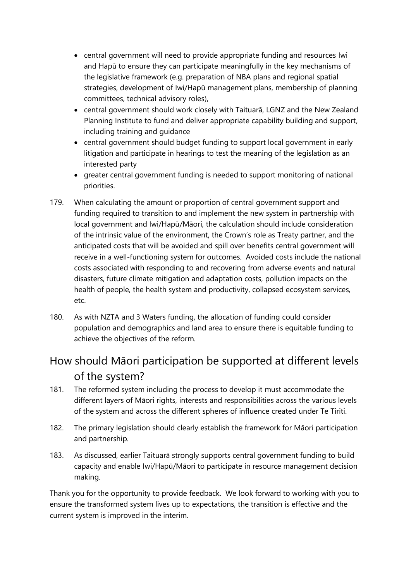- central government will need to provide appropriate funding and resources Iwi and Hapū to ensure they can participate meaningfully in the key mechanisms of the legislative framework (e.g. preparation of NBA plans and regional spatial strategies, development of Iwi/Hapū management plans, membership of planning committees, technical advisory roles),
- central government should work closely with Taituarā, LGNZ and the New Zealand Planning Institute to fund and deliver appropriate capability building and support, including training and guidance
- central government should budget funding to support local government in early litigation and participate in hearings to test the meaning of the legislation as an interested party
- greater central government funding is needed to support monitoring of national priorities.
- 179. When calculating the amount or proportion of central government support and funding required to transition to and implement the new system in partnership with local government and Iwi/Hapū/Māori, the calculation should include consideration of the intrinsic value of the environment, the Crown's role as Treaty partner, and the anticipated costs that will be avoided and spill over benefits central government will receive in a well-functioning system for outcomes. Avoided costs include the national costs associated with responding to and recovering from adverse events and natural disasters, future climate mitigation and adaptation costs, pollution impacts on the health of people, the health system and productivity, collapsed ecosystem services, etc.
- 180. As with NZTA and 3 Waters funding, the allocation of funding could consider population and demographics and land area to ensure there is equitable funding to achieve the objectives of the reform.

#### How should Māori participation be supported at different levels of the system?

- 181. The reformed system including the process to develop it must accommodate the different layers of Māori rights, interests and responsibilities across the various levels of the system and across the different spheres of influence created under Te Tiriti.
- 182. The primary legislation should clearly establish the framework for Māori participation and partnership.
- 183. As discussed, earlier Taituarā strongly supports central government funding to build capacity and enable Iwi/Hapū/Māori to participate in resource management decision making.

Thank you for the opportunity to provide feedback. We look forward to working with you to ensure the transformed system lives up to expectations, the transition is effective and the current system is improved in the interim.